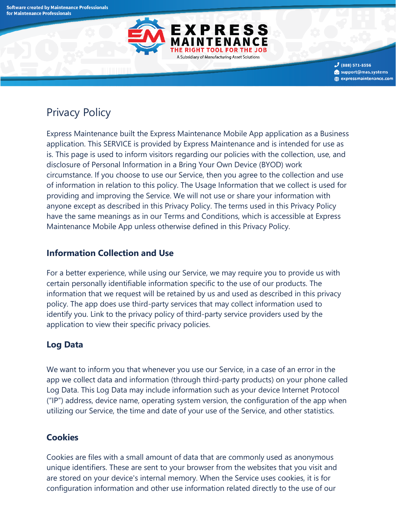

 $3$  (888) 571-8556 support@mas.systems **(●)** expressmaintenance.com

# Privacy Policy

Express Maintenance built the Express Maintenance Mobile App application as a Business application. This SERVICE is provided by Express Maintenance and is intended for use as is. This page is used to inform visitors regarding our policies with the collection, use, and disclosure of Personal Information in a Bring Your Own Device (BYOD) work circumstance. If you choose to use our Service, then you agree to the collection and use of information in relation to this policy. The Usage Information that we collect is used for providing and improving the Service. We will not use or share your information with anyone except as described in this Privacy Policy. The terms used in this Privacy Policy have the same meanings as in our Terms and Conditions, which is accessible at Express Maintenance Mobile App unless otherwise defined in this Privacy Policy.

#### **Information Collection and Use**

For a better experience, while using our Service, we may require you to provide us with certain personally identifiable information specific to the use of our products. The information that we request will be retained by us and used as described in this privacy policy. The app does use third-party services that may collect information used to identify you. Link to the privacy policy of third-party service providers used by the application to view their specific privacy policies.

## **Log Data**

We want to inform you that whenever you use our Service, in a case of an error in the app we collect data and information (through third-party products) on your phone called Log Data. This Log Data may include information such as your device Internet Protocol ("IP") address, device name, operating system version, the configuration of the app when utilizing our Service, the time and date of your use of the Service, and other statistics.

## **Cookies**

Cookies are files with a small amount of data that are commonly used as anonymous unique identifiers. These are sent to your browser from the websites that you visit and are stored on your device's internal memory. When the Service uses cookies, it is for configuration information and other use information related directly to the use of our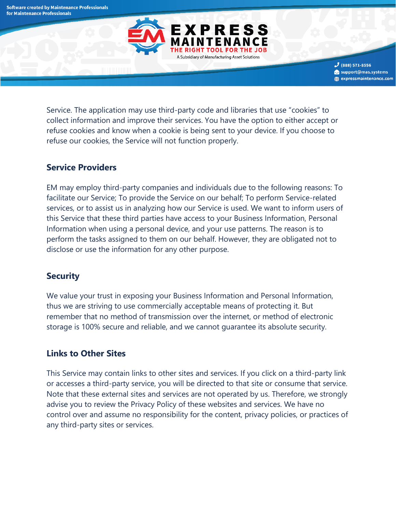

 $3$  (888) 571-8556 support@mas.systems **(●)** expressmaintenance.com

Service. The application may use third-party code and libraries that use "cookies" to collect information and improve their services. You have the option to either accept or refuse cookies and know when a cookie is being sent to your device. If you choose to refuse our cookies, the Service will not function properly.

#### **Service Providers**

EM may employ third-party companies and individuals due to the following reasons: To facilitate our Service; To provide the Service on our behalf; To perform Service-related services, or to assist us in analyzing how our Service is used. We want to inform users of this Service that these third parties have access to your Business Information, Personal Information when using a personal device, and your use patterns. The reason is to perform the tasks assigned to them on our behalf. However, they are obligated not to disclose or use the information for any other purpose.

#### **Security**

We value your trust in exposing your Business Information and Personal Information, thus we are striving to use commercially acceptable means of protecting it. But remember that no method of transmission over the internet, or method of electronic storage is 100% secure and reliable, and we cannot guarantee its absolute security.

#### **Links to Other Sites**

This Service may contain links to other sites and services. If you click on a third-party link or accesses a third-party service, you will be directed to that site or consume that service. Note that these external sites and services are not operated by us. Therefore, we strongly advise you to review the Privacy Policy of these websites and services. We have no control over and assume no responsibility for the content, privacy policies, or practices of any third-party sites or services.